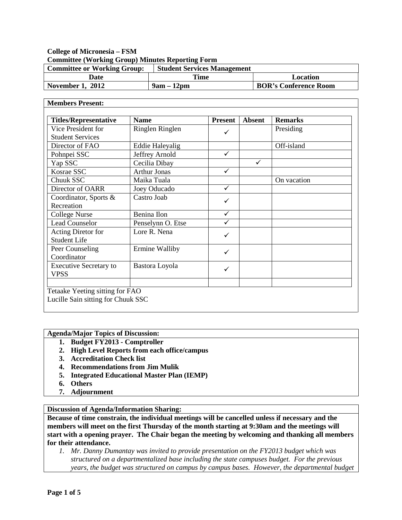## **College of Micronesia – FSM Committee (Working Group) Minutes Reporting Form**

| <b>Committee or Working Group:</b> | <b>Student Services Management</b> |                              |
|------------------------------------|------------------------------------|------------------------------|
| Date                               | Time                               | Location                     |
| <b>November 1, 2012</b>            | $9am - 12dm$                       | <b>BOR's Conference Room</b> |

## **Members Present:**

| Vice President for                           | Ringlen Ringlen        |              | <b>Absent</b> | <b>Remarks</b> |
|----------------------------------------------|------------------------|--------------|---------------|----------------|
| <b>Student Services</b>                      |                        | ✓            |               | Presiding      |
| Director of FAO                              | <b>Eddie Haleyalig</b> |              |               | Off-island     |
| Pohnpei SSC                                  | Jeffrey Arnold         | $\checkmark$ |               |                |
| Yap SSC                                      | Cecilia Dibay          |              | ✓             |                |
| Kosrae SSC                                   | <b>Arthur Jonas</b>    | ✓            |               |                |
| Chuuk SSC                                    | Maika Tuala            |              |               | On vacation    |
| Director of OARR                             | Joey Oducado           | $\checkmark$ |               |                |
| Coordinator, Sports &<br>Recreation          | Castro Joab            | ✓            |               |                |
| College Nurse                                | Benina Ilon            | $\checkmark$ |               |                |
| <b>Lead Counselor</b>                        | Penselynn O. Etse      | ✓            |               |                |
| Acting Diretor for<br><b>Student Life</b>    | Lore R. Nena           | ✓            |               |                |
| Peer Counseling<br>Coordinator               | Ermine Walliby         | $\checkmark$ |               |                |
| <b>Executive Secretary to</b><br><b>VPSS</b> | Bastora Loyola         | ✓            |               |                |

**Agenda/Major Topics of Discussion:**

- **1. Budget FY2013 - Comptroller**
- **2. High Level Reports from each office/campus**
- **3. Accreditation Check list**
- **4. Recommendations from Jim Mulik**
- **5. Integrated Educational Master Plan (IEMP)**
- **6. Others**
- **7. Adjournment**

## **Discussion of Agenda/Information Sharing:**

**Because of time constrain, the individual meetings will be cancelled unless if necessary and the members will meet on the first Thursday of the month starting at 9:30am and the meetings will start with a opening prayer. The Chair began the meeting by welcoming and thanking all members for their attendance.** 

*1. Mr. Danny Dumantay was invited to provide presentation on the FY2013 budget which was structured on a departmentalized base including the state campuses budget. For the previous years, the budget was structured on campus by campus bases. However, the departmental budget*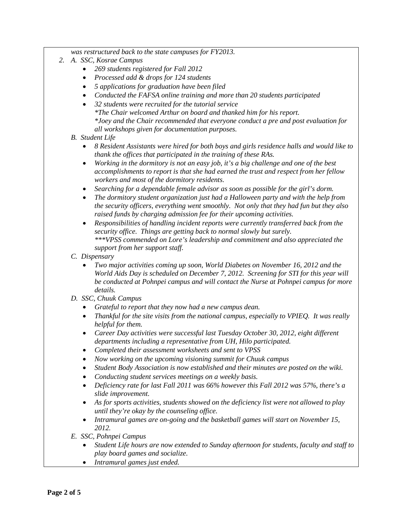*was restructured back to the state campuses for FY2013.*

- *2. A. SSC, Kosrae Campus*
	- *269 students registered for Fall 2012*
	- *Processed add & drops for 124 students*
	- *5 applications for graduation have been filed*
	- *Conducted the FAFSA online training and more than 20 students participated*
	- *32 students were recruited for the tutorial service \*The Chair welcomed Arthur on board and thanked him for his report. \*Joey and the Chair recommended that everyone conduct a pre and post evaluation for all workshops given for documentation purposes.*
	- *B. Student Life*
		- *8 Resident Assistants were hired for both boys and girls residence halls and would like to thank the offices that participated in the training of these RAs.*
		- *Working in the dormitory is not an easy job, it's a big challenge and one of the best accomplishments to report is that she had earned the trust and respect from her fellow workers and most of the dormitory residents.*
		- *Searching for a dependable female advisor as soon as possible for the girl's dorm.*
		- *The dormitory student organization just had a Halloween party and with the help from the security officers, everything went smoothly. Not only that they had fun but they also raised funds by charging admission fee for their upcoming activities.*
		- *Responsibilities of handling incident reports were currently transferred back from the security office. Things are getting back to normal slowly but surely. \*\*\*VPSS commended on Lore's leadership and commitment and also appreciated the support from her support staff.*
	- *C. Dispensary*
		- *Two major activities coming up soon, World Diabetes on November 16, 2012 and the World Aids Day is scheduled on December 7, 2012. Screening for STI for this year will be conducted at Pohnpei campus and will contact the Nurse at Pohnpei campus for more details.*
	- *D. SSC, Chuuk Campus*
		- *Grateful to report that they now had a new campus dean.*
		- *Thankful for the site visits from the national campus, especially to VPIEQ. It was really helpful for them.*
		- *Career Day activities were successful last Tuesday October 30, 2012, eight different departments including a representative from UH, Hilo participated.*
		- *Completed their assessment worksheets and sent to VPSS*
		- *Now working on the upcoming visioning summit for Chuuk campus*
		- *Student Body Association is now established and their minutes are posted on the wiki.*
		- *Conducting student services meetings on a weekly basis.*
		- *Deficiency rate for last Fall 2011 was 66% however this Fall 2012 was 57%, there's a slide improvement.*
		- *As for sports activities, students showed on the deficiency list were not allowed to play until they're okay by the counseling office.*
		- *Intramural games are on-going and the basketball games will start on November 15, 2012.*
	- *E. SSC, Pohnpei Campus*
		- *Student Life hours are now extended to Sunday afternoon for students, faculty and staff to play board games and socialize.*
		- *Intramural games just ended.*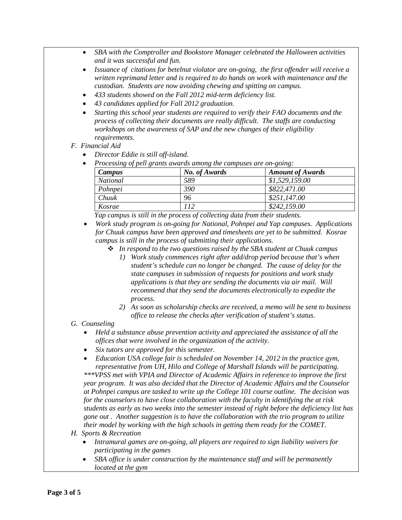- *SBA with the Comptroller and Bookstore Manager celebrated the Halloween activities and it was successful and fun.*
- *Issuance of citations for betelnut violator are on-going, the first offender will receive a written reprimand letter and is required to do hands on work with maintenance and the custodian. Students are now avoiding chewing and spitting on campus.*
- *433 students showed on the Fall 2012 mid-term deficiency list.*
- *43 candidates applied for Fall 2012 graduation.*
- *Starting this school year students are required to verify their FAO documents and the process of collecting their documents are really difficult. The staffs are conducting workshops on the awareness of SAP and the new changes of their eligibility requirements.*
- *F. Financial Aid* 
	- *Director Eddie is still off-island.*
	- *Processing of pell grants awards among the campuses are on-going:*

| Campus          | No. of Awards | <b>Amount of Awards</b> |
|-----------------|---------------|-------------------------|
| <b>National</b> | 589           | \$1,529,159.00          |
| Pohnpei         | 390           | \$822,471.00            |
| Chuuk           | 96            | \$251,147.00            |
| Kosrae          | 112           | \$242,159.00            |

*Yap campus is still in the process of collecting data from their students.*

- *Work study program is on-going for National, Pohnpei and Yap campuses. Applications for Chuuk campus have been approved and timesheets are yet to be submitted. Kosrae campus is still in the process of submitting their applications.*
	- *In respond to the two questions raised by the SBA student at Chuuk campus*
		- *1) Work study commences right after add/drop period because that's when student's schedule can no longer be changed. The cause of delay for the state campuses in submission of requests for positions and work study applications is that they are sending the documents via air mail. Will recommend that they send the documents electronically to expedite the process.*
		- *2) As soon as scholarship checks are received, a memo will be sent to business office to release the checks after verification of student's status.*
- *G. Counseling*
	- *Held a substance abuse prevention activity and appreciated the assistance of all the offices that were involved in the organization of the activity.*
	- *Six tutors are approved for this semester.*
	- *Education USA college fair is scheduled on November 14, 2012 in the practice gym, representative from UH, Hilo and College of Marshall Islands will be participating.*

*\*\*\*VPSS met with VPIA and Director of Academic Affairs in reference to improve the first year program. It was also decided that the Director of Academic Affairs and the Counselor at Pohnpei campus are tasked to write up the College 101 course outline. The decision was for the counselors to have close collaboration with the faculty in identifying the at risk students as early as two weeks into the semester instead of right before the deficiency list has gone out . Another suggestion is to have the collaboration with the trio program to utilize their model by working with the high schools in getting them ready for the COMET.*

- *H. Sports & Recreation*
	- *Intramural games are on-going, all players are required to sign liability waivers for participating in the games*
	- *SBA office is under construction by the maintenance staff and will be permanently located at the gym*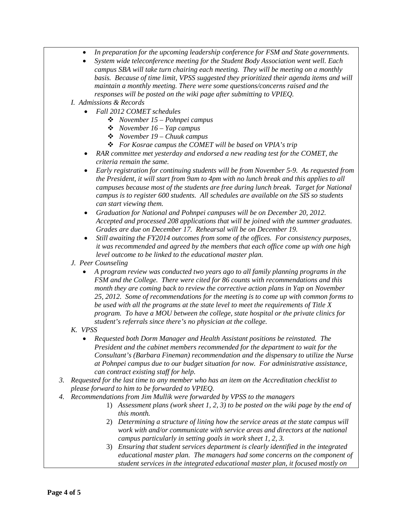- *In preparation for the upcoming leadership conference for FSM and State governments.*
- *System wide teleconference meeting for the Student Body Association went well. Each campus SBA will take turn chairing each meeting. They will be meeting on a monthly basis. Because of time limit, VPSS suggested they prioritized their agenda items and will maintain a monthly meeting. There were some questions/concerns raised and the responses will be posted on the wiki page after submitting to VPIEQ.*
- *I. Admissions & Records*
	- *Fall 2012 COMET schedules*
		- *November 15 – Pohnpei campus*
		- *November 16 – Yap campus*
		- *November 19 – Chuuk campus*
		- *For Kosrae campus the COMET will be based on VPIA's trip*
	- *RAR committee met yesterday and endorsed a new reading test for the COMET, the criteria remain the same.*
	- *Early registration for continuing students will be from November 5-9. As requested from the President, it will start from 9am to 4pm with no lunch break and this applies to all campuses because most of the students are free during lunch break. Target for National campus is to register 600 students. All schedules are available on the SIS so students can start viewing them.*
	- *Graduation for National and Pohnpei campuses will be on December 20, 2012. Accepted and processed 208 applications that will be joined with the summer graduates. Grades are due on December 17. Rehearsal will be on December 19.*
	- *Still awaiting the FY2014 outcomes from some of the offices. For consistency purposes, it was recommended and agreed by the members that each office come up with one high level outcome to be linked to the educational master plan.*
- *J. Peer Counseling*
	- *A program review was conducted two years ago to all family planning programs in the FSM and the College. There were cited for 86 counts with recommendations and this month they are coming back to review the corrective action plans in Yap on November 25, 2012. Some of recommendations for the meeting is to come up with common forms to be used with all the programs at the state level to meet the requirements of Title X program. To have a MOU between the college, state hospital or the private clinics for student's referrals since there's no physician at the college.*
- *K. VPSS*
	- *Requested both Dorm Manager and Health Assistant positions be reinstated. The President and the cabinet members recommended for the department to wait for the Consultant's (Barbara Fineman) recommendation and the dispensary to utilize the Nurse at Pohnpei campus due to our budget situation for now. For administrative assistance, can contract existing staff for help.*
- *3. Requested for the last time to any member who has an item on the Accreditation checklist to please forward to him to be forwarded to VPIEQ.*
- *4. Recommendations from Jim Mullik were forwarded by VPSS to the managers*
	- 1) *Assessment plans (work sheet 1, 2, 3) to be posted on the wiki page by the end of this month.*
	- 2) *Determining a structure of lining how the service areas at the state campus will work with and/or communicate with service areas and directors at the national campus particularly in setting goals in work sheet 1, 2, 3.*
	- 3) *Ensuring that student services department is clearly identified in the integrated educational master plan. The managers had some concerns on the component of student services in the integrated educational master plan, it focused mostly on*